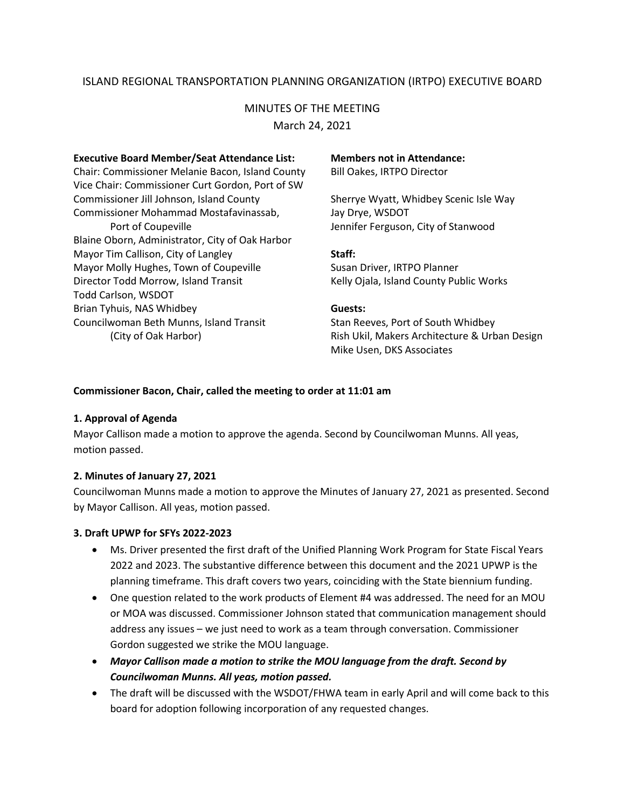## ISLAND REGIONAL TRANSPORTATION PLANNING ORGANIZATION (IRTPO) EXECUTIVE BOARD

# MINUTES OF THE MEETING

March 24, 2021

#### **Executive Board Member/Seat Attendance List: Members not in Attendance:**

Chair: Commissioner Melanie Bacon, Island County Bill Oakes, IRTPO Director Vice Chair: Commissioner Curt Gordon, Port of SW Commissioner Jill Johnson, Island County Sherrye Wyatt, Whidbey Scenic Isle Way Commissioner Mohammad Mostafavinassab, Jay Drye, WSDOT Port of Coupeville The Jennifer Ferguson, City of Stanwood Blaine Oborn, Administrator, City of Oak Harbor Mayor Tim Callison, City of Langley **Staff:** Mayor Molly Hughes, Town of Coupeville Susan Driver, IRTPO Planner Director Todd Morrow, Island Transit Kelly Ojala, Island County Public Works Todd Carlson, WSDOT Brian Tyhuis, NAS Whidbey **Guests:** Councilwoman Beth Munns, Island Transit Stan Reeves, Port of South Whidbey

(City of Oak Harbor) The Rish Ukil, Makers Architecture & Urban Design Mike Usen, DKS Associates

### **Commissioner Bacon, Chair, called the meeting to order at 11:01 am**

### **1. Approval of Agenda**

Mayor Callison made a motion to approve the agenda. Second by Councilwoman Munns. All yeas, motion passed.

### **2. Minutes of January 27, 2021**

Councilwoman Munns made a motion to approve the Minutes of January 27, 2021 as presented. Second by Mayor Callison. All yeas, motion passed.

### **3. Draft UPWP for SFYs 2022-2023**

- Ms. Driver presented the first draft of the Unified Planning Work Program for State Fiscal Years 2022 and 2023. The substantive difference between this document and the 2021 UPWP is the planning timeframe. This draft covers two years, coinciding with the State biennium funding.
- One question related to the work products of Element #4 was addressed. The need for an MOU or MOA was discussed. Commissioner Johnson stated that communication management should address any issues – we just need to work as a team through conversation. Commissioner Gordon suggested we strike the MOU language.
- *Mayor Callison made a motion to strike the MOU language from the draft. Second by Councilwoman Munns. All yeas, motion passed.*
- The draft will be discussed with the WSDOT/FHWA team in early April and will come back to this board for adoption following incorporation of any requested changes.